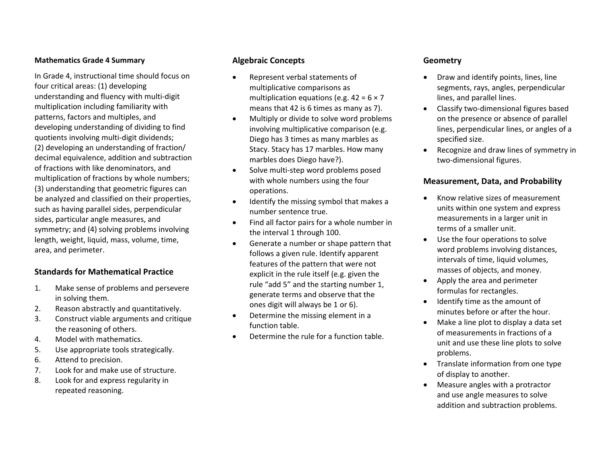#### **Mathematics Grade4 Summary**

In Grade 4, instructional time should focus on four critical areas: (1) developing understanding and fluency with multi‐digit multiplication including familiarity with patterns, factors and multiples, and developing understanding of dividing to find quotients involving multi‐digit dividends; (2) developing an understanding of fraction/ decimal equivalence, addition and subtraction of fractions with like denominators, and multiplication of fractions by whole numbers; (3) understanding that geometric figures can be analyzed and classified on their properties, such as having parallel sides, perpendicular sides, particular angle measures, and symmetry; and (4) solving problems involving length, weight, liquid, mass, volume, time, area, and perimeter.

## **Standards for Mathematical Practice**

- 1. Make sense of problems and persevere in solving them.
- 2.Reason abstractly and quantitatively.
- 3. Construct viable arguments and critique the reasoning of others.
- 4.Model with mathematics.
- 5.Use appropriate tools strategically.
- 6.Attend to precision.
- 7.Look for and make use of structure.
- 8. Look for and express regularity in repeated reasoning.

## **Algebraic Concepts**

- 0 Represent verbal statements of multiplicative comparisons as multiplication equations (e.g.  $42 = 6 \times 7$ means that 42 is 6 times as many as 7).
- . Multiply or divide to solve word problems involving multiplicative comparison (e.g. Diego has 3 times as many marbles as Stacy. Stacy has 17 marbles. How many marbles does Diego have?).
- . ● Solve multi-step word problems posed with whole numbers using the four operations.
- . Identify the missing symbol that makes <sup>a</sup> number sentence true.
- . Find all factor pairs for <sup>a</sup> whole number in the interval 1 through 100.
- . Generate <sup>a</sup> number or shape pattern that follows a given rule. Identify apparent features of the pattern that were not explicit in the rule itself (e.g. given the rule "add 5" and the starting number 1, generate terms and observe that the ones digit will always be 1 or 6).
- $\bullet$  Determine the missing element in <sup>a</sup> function table.
- 0 Determine the rule for <sup>a</sup> function table.

### **Geometry**

- . Draw and identify points, lines, line segments, rays, angles, perpendicular lines, and parallel lines.
- Classify two-dimensional figures based on the presence or absence of parallel lines, perpendicular lines, or angles of <sup>a</sup> specified size.
- $\bullet$  Recognize and draw lines of symmetry in two‐dimensional figures.

#### **Measurement, Data, and Probability**

- $\bullet$ • Know relative sizes of measurement units within one system and express measurements in <sup>a</sup> larger unit in terms of <sup>a</sup> smaller unit.
- $\bullet$  Use the four operations to solve word problems involving distances, intervals of time, liquid volumes, masses of objects, and money.
- $\bullet$  Apply the area and perimeter formulas for rectangles.
- Identify time as the amount of minutes before or after the hour.
- $\bullet$  Make <sup>a</sup> line plot to display <sup>a</sup> data set of measurements in fractions of <sup>a</sup> unit and use these line plots to solve problems.
- Translate information from one type of display to another.
- Measure angles with <sup>a</sup> protractor and use angle measures to solve addition and subtraction problems.